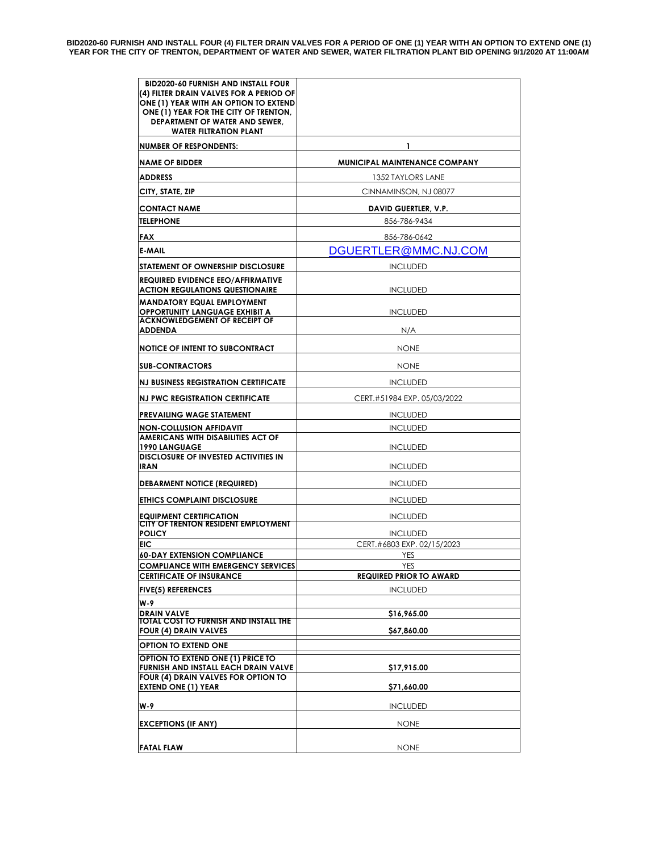| <b>BID2020-60 FURNISH AND INSTALL FOUR</b><br>(4) FILTER DRAIN VALVES FOR A PERIOD OF<br>ONE (1) YEAR WITH AN OPTION TO EXTEND<br>ONE (1) YEAR FOR THE CITY OF TRENTON.<br>DEPARTMENT OF WATER AND SEWER,<br><b>WATER FILTRATION PLANT</b> |                                       |
|--------------------------------------------------------------------------------------------------------------------------------------------------------------------------------------------------------------------------------------------|---------------------------------------|
| <b>NUMBER OF RESPONDENTS:</b>                                                                                                                                                                                                              | 1                                     |
| <b>NAME OF BIDDER</b>                                                                                                                                                                                                                      | <b>MUNICIPAL MAINTENANCE COMPANY</b>  |
| <b>ADDRESS</b>                                                                                                                                                                                                                             | 1352 TAYLORS LANE                     |
| CITY, STATE, ZIP                                                                                                                                                                                                                           | CINNAMINSON, NJ 08077                 |
| <b>CONTACT NAME</b>                                                                                                                                                                                                                        | <b>DAVID GUERTLER, V.P.</b>           |
| <b>TELEPHONE</b>                                                                                                                                                                                                                           | 856-786-9434                          |
| <b>FAX</b>                                                                                                                                                                                                                                 | 856-786-0642                          |
| <b>E-MAIL</b>                                                                                                                                                                                                                              | DGUERTLER@MMC.NJ.COM                  |
| STATEMENT OF OWNERSHIP DISCLOSURE                                                                                                                                                                                                          | <b>INCLUDED</b>                       |
| <b>REQUIRED EVIDENCE EEO/AFFIRMATIVE</b><br><b>ACTION REGULATIONS QUESTIONAIRE</b>                                                                                                                                                         | <b>INCLUDED</b>                       |
| <b>MANDATORY EQUAL EMPLOYMENT</b><br><b>OPPORTUNITY LANGUAGE EXHIBIT A</b><br><b>ACKNOWLEDGEMENT OF RECEIPT OF</b>                                                                                                                         | <b>INCLUDED</b>                       |
| <b>ADDENDA</b>                                                                                                                                                                                                                             | N/A                                   |
| <b>NOTICE OF INTENT TO SUBCONTRACT</b>                                                                                                                                                                                                     | <b>NONE</b>                           |
| <b>SUB-CONTRACTORS</b>                                                                                                                                                                                                                     | <b>NONE</b>                           |
| <b>NJ BUSINESS REGISTRATION CERTIFICATE</b>                                                                                                                                                                                                | <b>INCLUDED</b>                       |
| <b>NJ PWC REGISTRATION CERTIFICATE</b>                                                                                                                                                                                                     | CERT.#51984 EXP. 05/03/2022           |
| <b>PREVAILING WAGE STATEMENT</b>                                                                                                                                                                                                           | <b>INCLUDED</b>                       |
| <b>NON-COLLUSION AFFIDAVIT</b>                                                                                                                                                                                                             | <b>INCLUDED</b>                       |
| <b>AMERICANS WITH DISABILITIES ACT OF</b><br><b>1990 LANGUAGE</b>                                                                                                                                                                          | <b>INCLUDED</b>                       |
| <b>DISCLOSURE OF INVESTED ACTIVITIES IN</b><br><b>IRAN</b>                                                                                                                                                                                 | <b>INCLUDED</b>                       |
| <b>DEBARMENT NOTICE (REQUIRED)</b>                                                                                                                                                                                                         | <b>INCLUDED</b>                       |
| ETHICS COMPLAINT DISCLOSURE                                                                                                                                                                                                                | <b>INCLUDED</b>                       |
| <b>EQUIPMENT CERTIFICATION</b><br><b>CITY OF TRENTON RESIDENT EMPLOYMENT</b>                                                                                                                                                               | <b>INCLUDED</b>                       |
| <b>POLICY</b>                                                                                                                                                                                                                              | <b>INCLUDED</b>                       |
| EIC                                                                                                                                                                                                                                        | CERT.#6803 EXP. 02/15/2023            |
| <b>60-DAY EXTENSION COMPLIANCE</b>                                                                                                                                                                                                         | YES                                   |
| <b>COMPLIANCE WITH EMERGENCY SERVICES</b><br><b>CERTIFICATE OF INSURANCE</b>                                                                                                                                                               | YES<br><b>REQUIRED PRIOR TO AWARD</b> |
| <b>FIVE(5) REFERENCES</b>                                                                                                                                                                                                                  | <b>INCLUDED</b>                       |
| W-9                                                                                                                                                                                                                                        |                                       |
| <b>DRAIN VALVE</b>                                                                                                                                                                                                                         | \$16,965.00                           |
| <b>TOTAL COST TO FURNISH AND INSTALL THE</b><br><b>FOUR (4) DRAIN VALVES</b>                                                                                                                                                               | \$67,860.00                           |
| OPTION TO EXTEND ONE                                                                                                                                                                                                                       |                                       |
| OPTION TO EXTEND ONE (1) PRICE TO<br><b>FURNISH AND INSTALL EACH DRAIN VALVE</b>                                                                                                                                                           | \$17,915.00                           |
| FOUR (4) DRAIN VALVES FOR OPTION TO<br><b>EXTEND ONE (1) YEAR</b>                                                                                                                                                                          | \$71,660.00                           |
| W-9                                                                                                                                                                                                                                        | <b>INCLUDED</b>                       |
| <b>EXCEPTIONS (IF ANY)</b>                                                                                                                                                                                                                 | <b>NONE</b>                           |
| <b>FATAL FLAW</b>                                                                                                                                                                                                                          | <b>NONE</b>                           |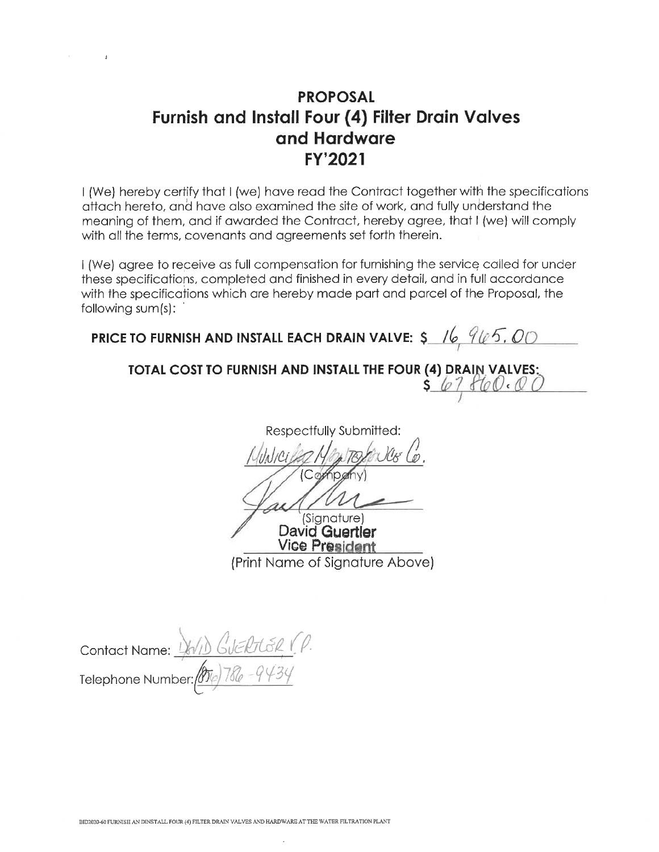## **PROPOSAL Furnish and Install Four (4) Filter Drain Valves** and Hardware FY'2021

I (We) hereby certify that I (we) have read the Contract together with the specifications attach hereto, and have also examined the site of work, and fully understand the meaning of them, and if awarded the Contract, hereby agree, that I (we) will comply with all the terms, covenants and agreements set forth therein.

I (We) agree to receive as full compensation for furnishing the service called for under these specifications, completed and finished in every detail, and in full accordance with the specifications which are hereby made part and parcel of the Proposal, the following sum(s):

PRICE TO FURNISH AND INSTALL EACH DRAIN VALVE:  $\frac{6}{5}$  /6, 965, 00

### TOTAL COST TO FURNISH AND INSTALL THE FOUR (4) DRAIN VALVES:  $s67860.00$

Respectfully Submitted:

Company

(Signature) David Guertler **Vice President** (Print Name of Signature Above)

Contact Name: <u>44/1)</u> GUERTER (P.<br>Telephone Number: 000) 786 - 9434